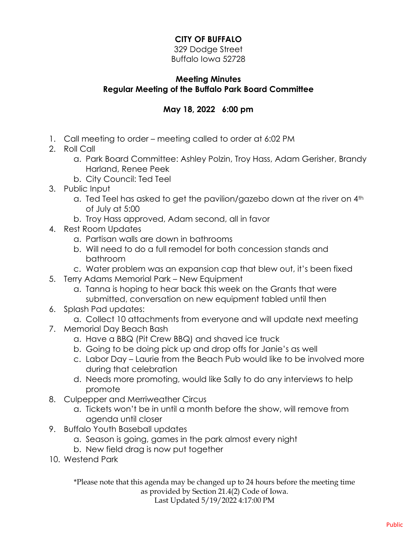## **CITY OF BUFFALO**

329 Dodge Street Buffalo Iowa 52728

## **Meeting Minutes Regular Meeting of the Buffalo Park Board Committee**

## **May 18, 2022 6:00 pm**

- 1. Call meeting to order meeting called to order at 6:02 PM
- 2. Roll Call
	- a. Park Board Committee: Ashley Polzin, Troy Hass, Adam Gerisher, Brandy Harland, Renee Peek
	- b. City Council: Ted Teel
- 3. Public Input
	- a. Ted Teel has asked to get the pavilion/gazebo down at the river on 4th of July at 5:00
	- b. Troy Hass approved, Adam second, all in favor
- 4. Rest Room Updates
	- a. Partisan walls are down in bathrooms
	- b. Will need to do a full remodel for both concession stands and bathroom
	- c. Water problem was an expansion cap that blew out, it's been fixed
- 5. Terry Adams Memorial Park New Equipment
	- a. Tanna is hoping to hear back this week on the Grants that were submitted, conversation on new equipment tabled until then
- 6. Splash Pad updates:
	- a. Collect 10 attachments from everyone and will update next meeting
- 7. Memorial Day Beach Bash
	- a. Have a BBQ (Pit Crew BBQ) and shaved ice truck
	- b. Going to be doing pick up and drop offs for Janie's as well
	- c. Labor Day Laurie from the Beach Pub would like to be involved more during that celebration
	- d. Needs more promoting, would like Sally to do any interviews to help promote
- 8. Culpepper and Merriweather Circus
	- a. Tickets won't be in until a month before the show, will remove from agenda until closer
- 9. Buffalo Youth Baseball updates
	- a. Season is going, games in the park almost every night
	- b. New field drag is now put together
- 10. Westend Park

\*Please note that this agenda may be changed up to 24 hours before the meeting time as provided by Section 21.4(2) Code of Iowa. Last Updated 5/19/2022 4:17:00 PM